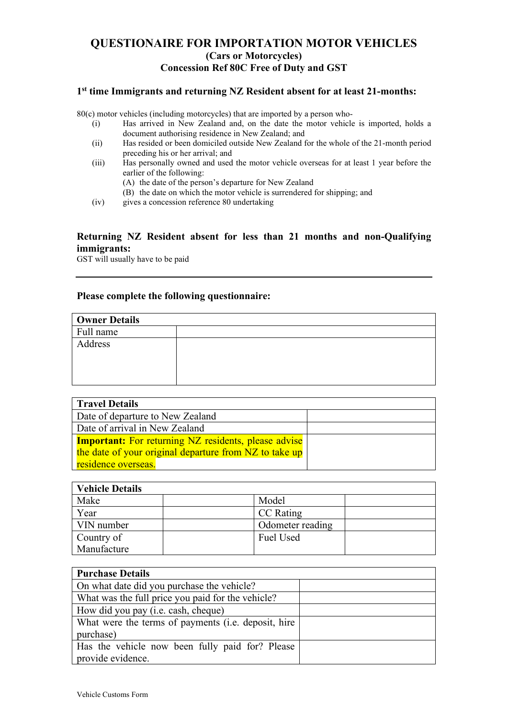# **QUESTIONAIRE FOR IMPORTATION MOTOR VEHICLES (Cars or Motorcycles) Concession Ref 80C Free of Duty and GST**

#### **1st time Immigrants and returning NZ Resident absent for at least 21-months:**

80(c) motor vehicles (including motorcycles) that are imported by a person who-

- (i) Has arrived in New Zealand and, on the date the motor vehicle is imported, holds a document authorising residence in New Zealand; and
- (ii) Has resided or been domiciled outside New Zealand for the whole of the 21-month period preceding his or her arrival; and
- (iii) Has personally owned and used the motor vehicle overseas for at least 1 year before the earlier of the following:
	- (A) the date of the person's departure for New Zealand
	- (B) the date on which the motor vehicle is surrendered for shipping; and
- (iv) gives a concession reference 80 undertaking

#### **Returning NZ Resident absent for less than 21 months and non-Qualifying immigrants:**

GST will usually have to be paid

### **Please complete the following questionnaire:**

| Travel Details                                              |  |
|-------------------------------------------------------------|--|
| Date of departure to New Zealand                            |  |
| Date of arrival in New Zealand                              |  |
| <b>Important:</b> For returning NZ residents, please advise |  |
| the date of your original departure from NZ to take up      |  |
| residence overseas.                                         |  |

| <b>Vehicle Details</b> |                  |
|------------------------|------------------|
| Make                   | Model            |
| Year                   | <b>CC</b> Rating |
| VIN number             | Odometer reading |
| Country of             | Fuel Used        |
| Manufacture            |                  |

| <b>Purchase Details</b>                                     |  |
|-------------------------------------------------------------|--|
| On what date did you purchase the vehicle?                  |  |
| What was the full price you paid for the vehicle?           |  |
| How did you pay (i.e. cash, cheque)                         |  |
| What were the terms of payments ( <i>i.e.</i> deposit, hire |  |
| purchase)                                                   |  |
| Has the vehicle now been fully paid for? Please             |  |
| provide evidence.                                           |  |